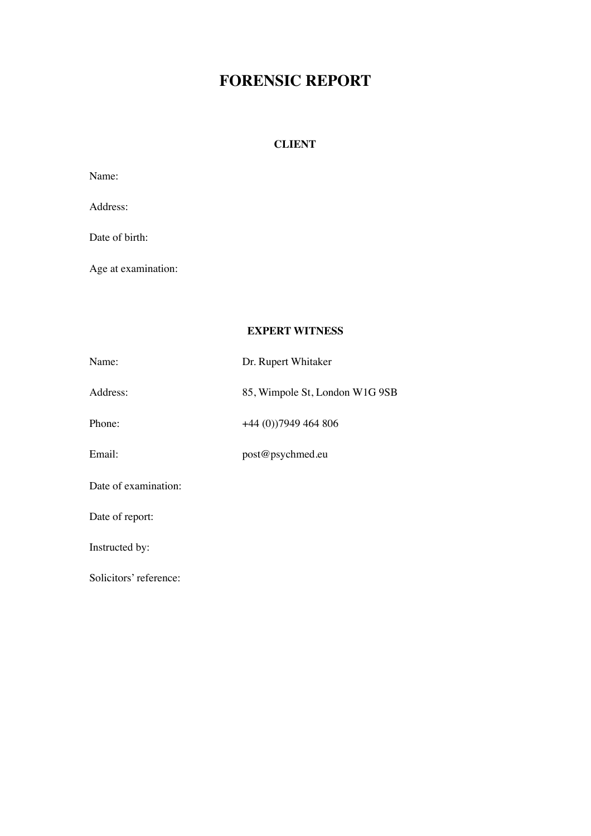# **FORENSIC REPORT**

# **CLIENT**

| Name:                  |                                |
|------------------------|--------------------------------|
| Address:               |                                |
| Date of birth:         |                                |
| Age at examination:    |                                |
|                        |                                |
|                        | <b>EXPERT WITNESS</b>          |
| Name:                  | Dr. Rupert Whitaker            |
| Address:               | 85, Wimpole St, London W1G 9SB |
| Phone:                 | +44 (0))7949 464 806           |
| Email:                 | post@psychmed.eu               |
| Date of examination:   |                                |
| Date of report:        |                                |
| Instructed by:         |                                |
| Solicitors' reference: |                                |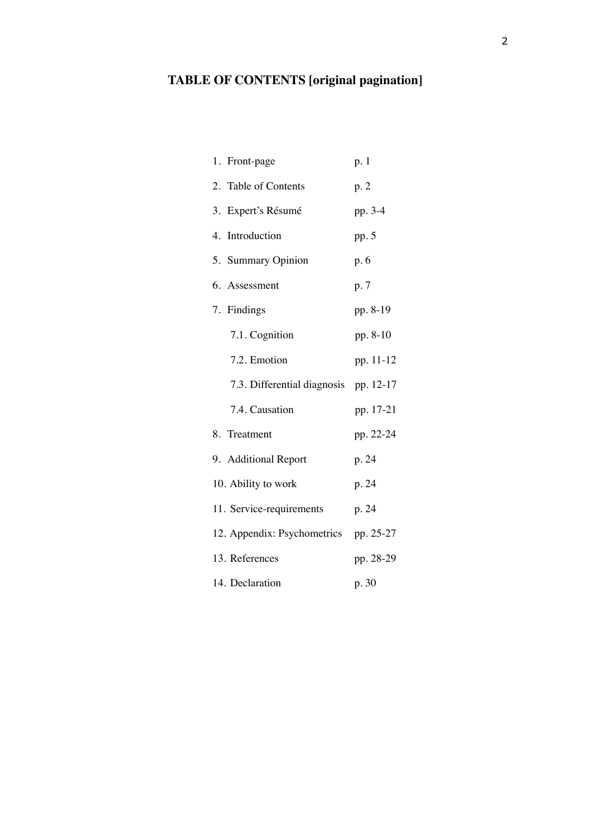# **TABLE OF CONTENTS [original pagination]**

| 1. Front-page               | p. 1      |
|-----------------------------|-----------|
| 2. Table of Contents        | p.2       |
| 3. Expert's Résumé          | pp. 3-4   |
| 4. Introduction             | pp. 5     |
| 5. Summary Opinion          | p. 6      |
| 6. Assessment               | p. 7      |
| 7. Findings                 | pp. 8-19  |
| 7.1. Cognition              | pp. 8-10  |
| 7.2. Emotion                | pp. 11-12 |
| 7.3. Differential diagnosis | pp. 12-17 |
| 7.4. Causation              | pp. 17-21 |
| 8. Treatment                | pp. 22-24 |
| 9. Additional Report        | p. 24     |
| 10. Ability to work         | p. 24     |
| 11. Service-requirements    | p. 24     |
| 12. Appendix: Psychometrics | pp. 25-27 |
| 13. References              | pp. 28-29 |
| 14. Declaration             | p. 30     |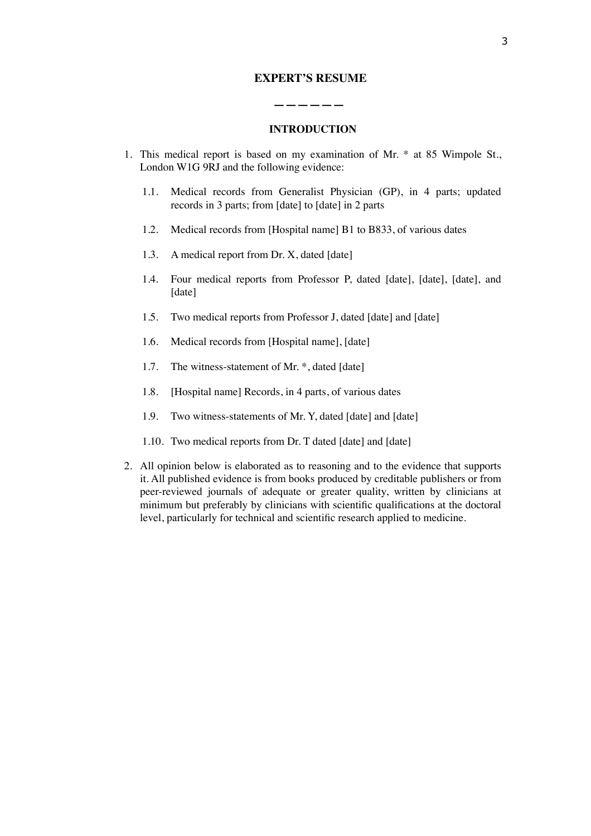## **EXPERT'S RESUME**

## **INTRODUCTION**

 **——————**

- 1. This medical report is based on my examination of Mr. \* at 85 Wimpole St., London W1G 9RJ and the following evidence:
	- 1.1. Medical records from Generalist Physician (GP), in 4 parts; updated records in 3 parts; from [date] to [date] in 2 parts
	- 1.2. Medical records from [Hospital name] B1 to B833, of various dates
	- 1.3. A medical report from Dr. X, dated [date]
	- 1.4. Four medical reports from Professor P, dated [date], [date], [date], and [date]
	- 1.5. Two medical reports from Professor J, dated [date] and [date]
	- 1.6. Medical records from [Hospital name], [date]
	- 1.7. The witness-statement of Mr. \*, dated [date]
	- 1.8. [Hospital name] Records, in 4 parts, of various dates
	- 1.9. Two witness-statements of Mr. Y, dated [date] and [date]
	- 1.10. Two medical reports from Dr. T dated [date] and [date]
- 2. All opinion below is elaborated as to reasoning and to the evidence that supports it. All published evidence is from books produced by creditable publishers or from peer-reviewed journals of adequate or greater quality, written by clinicians at minimum but preferably by clinicians with scientific qualifications at the doctoral level, particularly for technical and scientific research applied to medicine.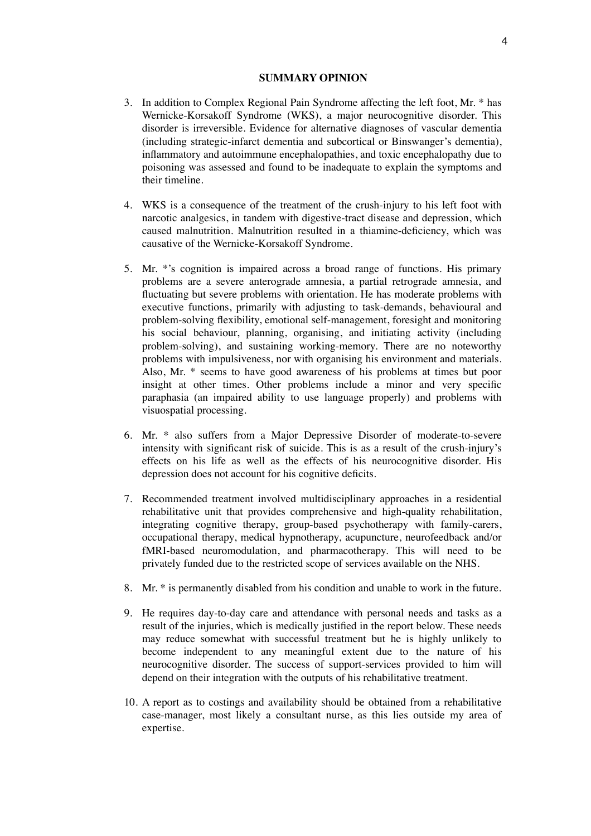#### **SUMMARY OPINION**

- 3. In addition to Complex Regional Pain Syndrome affecting the left foot, Mr. \* has Wernicke-Korsakoff Syndrome (WKS), a major neurocognitive disorder. This disorder is irreversible. Evidence for alternative diagnoses of vascular dementia (including strategic-infarct dementia and subcortical or Binswanger's dementia), inflammatory and autoimmune encephalopathies, and toxic encephalopathy due to poisoning was assessed and found to be inadequate to explain the symptoms and their timeline.
- 4. WKS is a consequence of the treatment of the crush-injury to his left foot with narcotic analgesics, in tandem with digestive-tract disease and depression, which caused malnutrition. Malnutrition resulted in a thiamine-deficiency, which was causative of the Wernicke-Korsakoff Syndrome.
- 5. Mr. \*'s cognition is impaired across a broad range of functions. His primary problems are a severe anterograde amnesia, a partial retrograde amnesia, and fluctuating but severe problems with orientation. He has moderate problems with executive functions, primarily with adjusting to task-demands, behavioural and problem-solving flexibility, emotional self-management, foresight and monitoring his social behaviour, planning, organising, and initiating activity (including problem-solving), and sustaining working-memory. There are no noteworthy problems with impulsiveness, nor with organising his environment and materials. Also, Mr. \* seems to have good awareness of his problems at times but poor insight at other times. Other problems include a minor and very specific paraphasia (an impaired ability to use language properly) and problems with visuospatial processing.
- 6. Mr. \* also suffers from a Major Depressive Disorder of moderate-to-severe intensity with significant risk of suicide. This is as a result of the crush-injury's effects on his life as well as the effects of his neurocognitive disorder. His depression does not account for his cognitive deficits.
- 7. Recommended treatment involved multidisciplinary approaches in a residential rehabilitative unit that provides comprehensive and high-quality rehabilitation, integrating cognitive therapy, group-based psychotherapy with family-carers, occupational therapy, medical hypnotherapy, acupuncture, neurofeedback and/or fMRI-based neuromodulation, and pharmacotherapy. This will need to be privately funded due to the restricted scope of services available on the NHS.
- 8. Mr. \* is permanently disabled from his condition and unable to work in the future.
- 9. He requires day-to-day care and attendance with personal needs and tasks as a result of the injuries, which is medically justified in the report below. These needs may reduce somewhat with successful treatment but he is highly unlikely to become independent to any meaningful extent due to the nature of his neurocognitive disorder. The success of support-services provided to him will depend on their integration with the outputs of his rehabilitative treatment.
- 10. A report as to costings and availability should be obtained from a rehabilitative case-manager, most likely a consultant nurse, as this lies outside my area of expertise.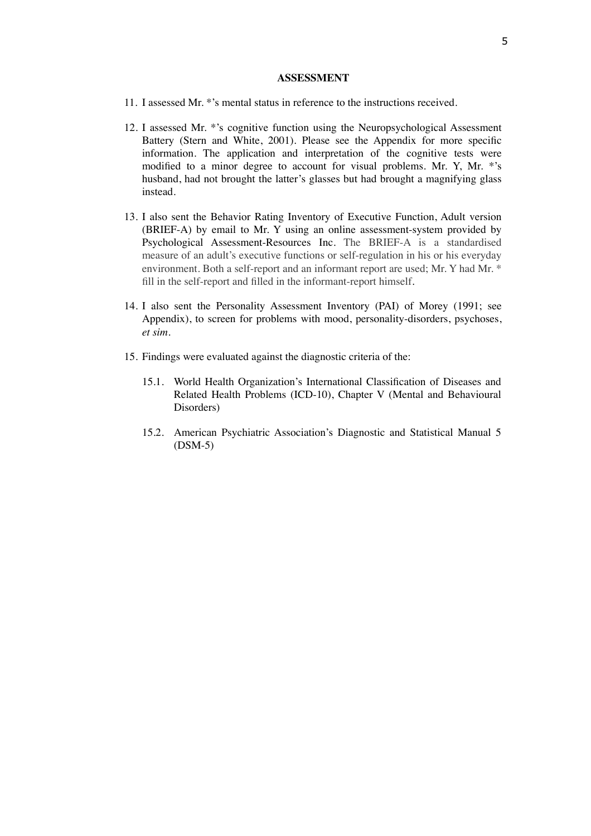#### **ASSESSMENT**

- 11. I assessed Mr. \*'s mental status in reference to the instructions received.
- 12. I assessed Mr. \*'s cognitive function using the Neuropsychological Assessment Battery (Stern and White, 2001). Please see the Appendix for more specific information. The application and interpretation of the cognitive tests were modified to a minor degree to account for visual problems. Mr. Y, Mr. \*'s husband, had not brought the latter's glasses but had brought a magnifying glass instead.
- 13. I also sent the Behavior Rating Inventory of Executive Function, Adult version (BRIEF-A) by email to Mr. Y using an online assessment-system provided by Psychological Assessment-Resources Inc. The BRIEF-A is a standardised measure of an adult's executive functions or self-regulation in his or his everyday environment. Both a self-report and an informant report are used; Mr. Y had Mr. \* fill in the self-report and filled in the informant-report himself.
- 14. I also sent the Personality Assessment Inventory (PAI) of Morey (1991; see Appendix), to screen for problems with mood, personality-disorders, psychoses, *et sim*.
- 15. Findings were evaluated against the diagnostic criteria of the:
	- 15.1. World Health Organization's International Classification of Diseases and Related Health Problems (ICD-10), Chapter V (Mental and Behavioural Disorders)
	- 15.2. American Psychiatric Association's Diagnostic and Statistical Manual 5 (DSM-5)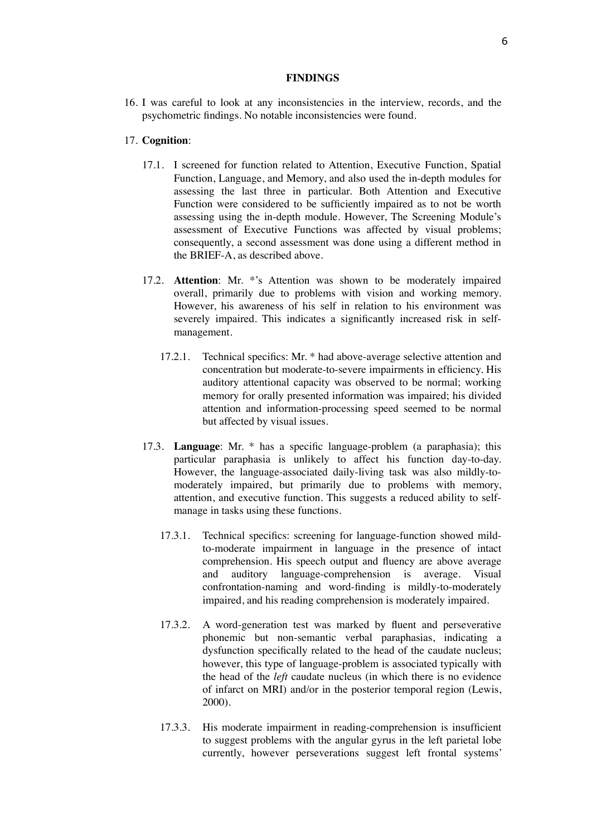#### **FINDINGS**

16. I was careful to look at any inconsistencies in the interview, records, and the psychometric findings. No notable inconsistencies were found.

#### 17. **Cognition**:

- 17.1. I screened for function related to Attention, Executive Function, Spatial Function, Language, and Memory, and also used the in-depth modules for assessing the last three in particular. Both Attention and Executive Function were considered to be sufficiently impaired as to not be worth assessing using the in-depth module. However, The Screening Module's assessment of Executive Functions was affected by visual problems; consequently, a second assessment was done using a different method in the BRIEF-A, as described above.
- 17.2. **Attention**: Mr. \*'s Attention was shown to be moderately impaired overall, primarily due to problems with vision and working memory. However, his awareness of his self in relation to his environment was severely impaired. This indicates a significantly increased risk in selfmanagement.
	- 17.2.1. Technical specifics: Mr. \* had above-average selective attention and concentration but moderate-to-severe impairments in efficiency. His auditory attentional capacity was observed to be normal; working memory for orally presented information was impaired; his divided attention and information-processing speed seemed to be normal but affected by visual issues.
- 17.3. **Language**: Mr. \* has a specific language-problem (a paraphasia); this particular paraphasia is unlikely to affect his function day-to-day. However, the language-associated daily-living task was also mildly-tomoderately impaired, but primarily due to problems with memory, attention, and executive function. This suggests a reduced ability to selfmanage in tasks using these functions.
	- 17.3.1. Technical specifics: screening for language-function showed mildto-moderate impairment in language in the presence of intact comprehension. His speech output and fluency are above average and auditory language-comprehension is average. Visual confrontation-naming and word-finding is mildly-to-moderately impaired, and his reading comprehension is moderately impaired.
	- 17.3.2. A word-generation test was marked by fluent and perseverative phonemic but non-semantic verbal paraphasias, indicating a dysfunction specifically related to the head of the caudate nucleus; however, this type of language-problem is associated typically with the head of the *left* caudate nucleus (in which there is no evidence of infarct on MRI) and/or in the posterior temporal region (Lewis, 2000).
	- 17.3.3. His moderate impairment in reading-comprehension is insufficient to suggest problems with the angular gyrus in the left parietal lobe currently, however perseverations suggest left frontal systems'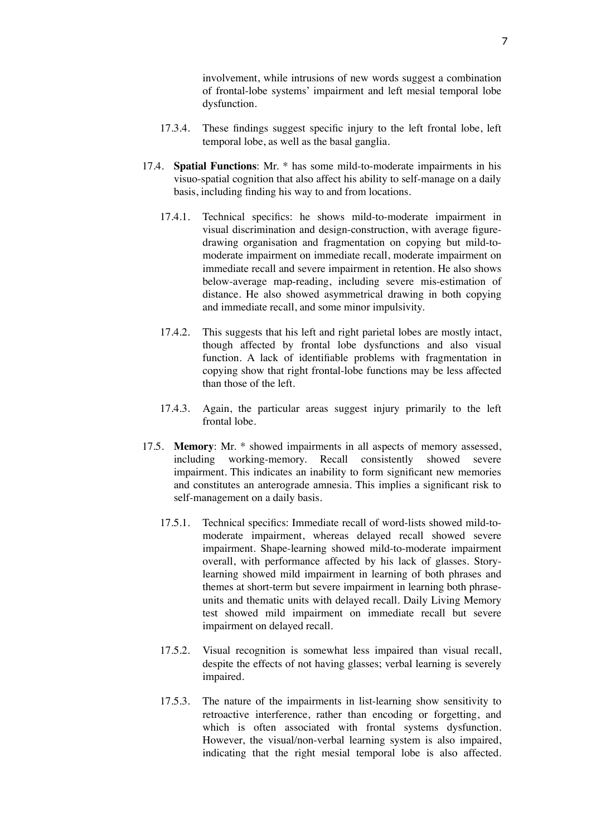involvement, while intrusions of new words suggest a combination of frontal-lobe systems' impairment and left mesial temporal lobe dysfunction.

- 17.3.4. These findings suggest specific injury to the left frontal lobe, left temporal lobe, as well as the basal ganglia.
- 17.4. **Spatial Functions**: Mr. \* has some mild-to-moderate impairments in his visuo-spatial cognition that also affect his ability to self-manage on a daily basis, including finding his way to and from locations.
	- 17.4.1. Technical specifics: he shows mild-to-moderate impairment in visual discrimination and design-construction, with average figuredrawing organisation and fragmentation on copying but mild-tomoderate impairment on immediate recall, moderate impairment on immediate recall and severe impairment in retention. He also shows below-average map-reading, including severe mis-estimation of distance. He also showed asymmetrical drawing in both copying and immediate recall, and some minor impulsivity.
	- 17.4.2. This suggests that his left and right parietal lobes are mostly intact, though affected by frontal lobe dysfunctions and also visual function. A lack of identifiable problems with fragmentation in copying show that right frontal-lobe functions may be less affected than those of the left.
	- 17.4.3. Again, the particular areas suggest injury primarily to the left frontal lobe.
- 17.5. **Memory**: Mr. \* showed impairments in all aspects of memory assessed, including working-memory. Recall consistently showed severe impairment. This indicates an inability to form significant new memories and constitutes an anterograde amnesia. This implies a significant risk to self-management on a daily basis.
	- 17.5.1. Technical specifics: Immediate recall of word-lists showed mild-tomoderate impairment, whereas delayed recall showed severe impairment. Shape-learning showed mild-to-moderate impairment overall, with performance affected by his lack of glasses. Storylearning showed mild impairment in learning of both phrases and themes at short-term but severe impairment in learning both phraseunits and thematic units with delayed recall. Daily Living Memory test showed mild impairment on immediate recall but severe impairment on delayed recall.
	- 17.5.2. Visual recognition is somewhat less impaired than visual recall, despite the effects of not having glasses; verbal learning is severely impaired.
	- 17.5.3. The nature of the impairments in list-learning show sensitivity to retroactive interference, rather than encoding or forgetting, and which is often associated with frontal systems dysfunction. However, the visual/non-verbal learning system is also impaired, indicating that the right mesial temporal lobe is also affected.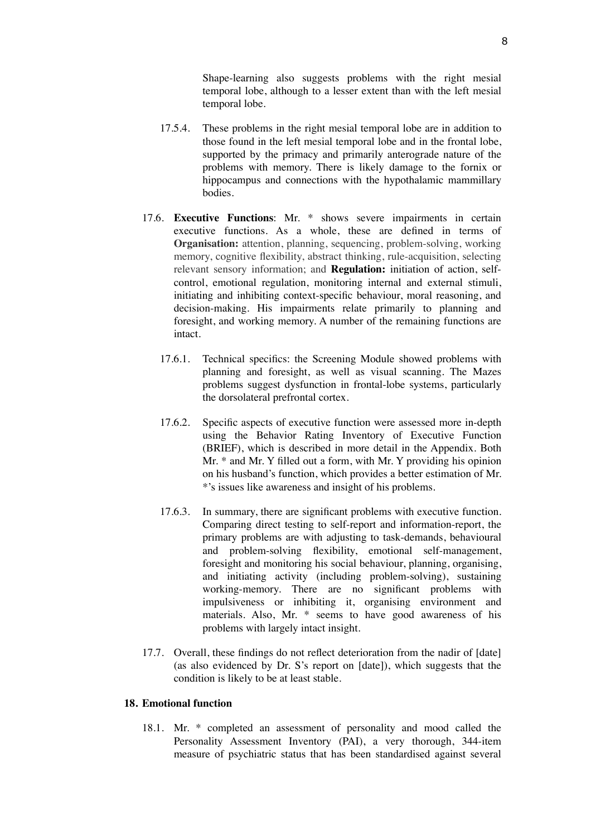Shape-learning also suggests problems with the right mesial temporal lobe, although to a lesser extent than with the left mesial temporal lobe.

- 17.5.4. These problems in the right mesial temporal lobe are in addition to those found in the left mesial temporal lobe and in the frontal lobe, supported by the primacy and primarily anterograde nature of the problems with memory. There is likely damage to the fornix or hippocampus and connections with the hypothalamic mammillary bodies.
- 17.6. **Executive Functions**: Mr. \* shows severe impairments in certain executive functions. As a whole, these are defined in terms of **Organisation:** attention, planning, sequencing, problem-solving, working memory, cognitive flexibility, abstract thinking, rule-acquisition, selecting relevant sensory information; and **Regulation:** initiation of action, selfcontrol, emotional regulation, monitoring internal and external stimuli, initiating and inhibiting context-specific behaviour, moral reasoning, and decision-making. His impairments relate primarily to planning and foresight, and working memory. A number of the remaining functions are intact.
	- 17.6.1. Technical specifics: the Screening Module showed problems with planning and foresight, as well as visual scanning. The Mazes problems suggest dysfunction in frontal-lobe systems, particularly the dorsolateral prefrontal cortex.
	- 17.6.2. Specific aspects of executive function were assessed more in-depth using the Behavior Rating Inventory of Executive Function (BRIEF), which is described in more detail in the Appendix. Both Mr. \* and Mr. Y filled out a form, with Mr. Y providing his opinion on his husband's function, which provides a better estimation of Mr. \*'s issues like awareness and insight of his problems.
	- 17.6.3. In summary, there are significant problems with executive function. Comparing direct testing to self-report and information-report, the primary problems are with adjusting to task-demands, behavioural and problem-solving flexibility, emotional self-management, foresight and monitoring his social behaviour, planning, organising, and initiating activity (including problem-solving), sustaining working-memory. There are no significant problems with impulsiveness or inhibiting it, organising environment and materials. Also, Mr. \* seems to have good awareness of his problems with largely intact insight.
- 17.7. Overall, these findings do not reflect deterioration from the nadir of [date] (as also evidenced by Dr. S's report on [date]), which suggests that the condition is likely to be at least stable.

## **18. Emotional function**

18.1. Mr. \* completed an assessment of personality and mood called the Personality Assessment Inventory (PAI), a very thorough, 344-item measure of psychiatric status that has been standardised against several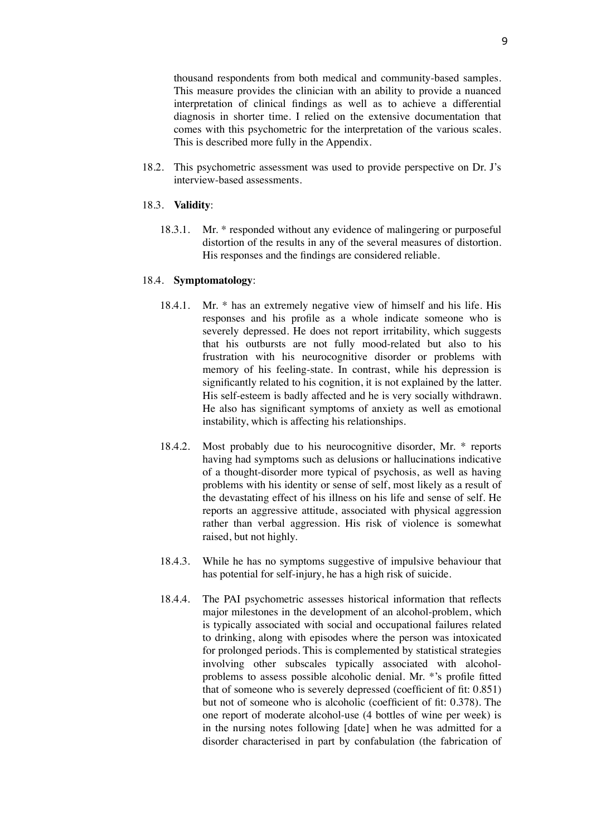thousand respondents from both medical and community-based samples. This measure provides the clinician with an ability to provide a nuanced interpretation of clinical findings as well as to achieve a differential diagnosis in shorter time. I relied on the extensive documentation that comes with this psychometric for the interpretation of the various scales. This is described more fully in the Appendix.

18.2. This psychometric assessment was used to provide perspective on Dr. J's interview-based assessments.

# 18.3. **Validity**:

18.3.1. Mr. \* responded without any evidence of malingering or purposeful distortion of the results in any of the several measures of distortion. His responses and the findings are considered reliable.

#### 18.4. **Symptomatology**:

- 18.4.1. Mr. \* has an extremely negative view of himself and his life. His responses and his profile as a whole indicate someone who is severely depressed. He does not report irritability, which suggests that his outbursts are not fully mood-related but also to his frustration with his neurocognitive disorder or problems with memory of his feeling-state. In contrast, while his depression is significantly related to his cognition, it is not explained by the latter. His self-esteem is badly affected and he is very socially withdrawn. He also has significant symptoms of anxiety as well as emotional instability, which is affecting his relationships.
- 18.4.2. Most probably due to his neurocognitive disorder, Mr. \* reports having had symptoms such as delusions or hallucinations indicative of a thought-disorder more typical of psychosis, as well as having problems with his identity or sense of self, most likely as a result of the devastating effect of his illness on his life and sense of self. He reports an aggressive attitude, associated with physical aggression rather than verbal aggression. His risk of violence is somewhat raised, but not highly.
- 18.4.3. While he has no symptoms suggestive of impulsive behaviour that has potential for self-injury, he has a high risk of suicide.
- 18.4.4. The PAI psychometric assesses historical information that reflects major milestones in the development of an alcohol-problem, which is typically associated with social and occupational failures related to drinking, along with episodes where the person was intoxicated for prolonged periods. This is complemented by statistical strategies involving other subscales typically associated with alcoholproblems to assess possible alcoholic denial. Mr. \*'s profile fitted that of someone who is severely depressed (coefficient of fit: 0.851) but not of someone who is alcoholic (coefficient of fit: 0.378). The one report of moderate alcohol-use (4 bottles of wine per week) is in the nursing notes following [date] when he was admitted for a disorder characterised in part by confabulation (the fabrication of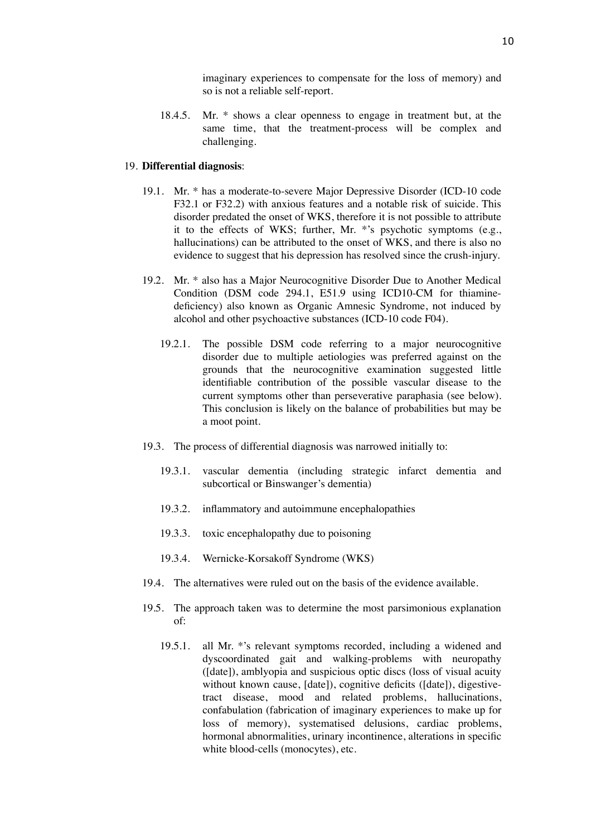imaginary experiences to compensate for the loss of memory) and so is not a reliable self-report.

18.4.5. Mr. \* shows a clear openness to engage in treatment but, at the same time, that the treatment-process will be complex and challenging.

#### 19. **Differential diagnosis**:

- 19.1. Mr. \* has a moderate-to-severe Major Depressive Disorder (ICD-10 code F32.1 or F32.2) with anxious features and a notable risk of suicide. This disorder predated the onset of WKS, therefore it is not possible to attribute it to the effects of WKS; further, Mr. \*'s psychotic symptoms (e.g., hallucinations) can be attributed to the onset of WKS, and there is also no evidence to suggest that his depression has resolved since the crush-injury.
- 19.2. Mr. \* also has a Major Neurocognitive Disorder Due to Another Medical Condition (DSM code 294.1, E51.9 using ICD10-CM for thiaminedeficiency) also known as Organic Amnesic Syndrome, not induced by alcohol and other psychoactive substances (ICD-10 code F04).
	- 19.2.1. The possible DSM code referring to a major neurocognitive disorder due to multiple aetiologies was preferred against on the grounds that the neurocognitive examination suggested little identifiable contribution of the possible vascular disease to the current symptoms other than perseverative paraphasia (see below). This conclusion is likely on the balance of probabilities but may be a moot point.
- 19.3. The process of differential diagnosis was narrowed initially to:
	- 19.3.1. vascular dementia (including strategic infarct dementia and subcortical or Binswanger's dementia)
	- 19.3.2. inflammatory and autoimmune encephalopathies
	- 19.3.3. toxic encephalopathy due to poisoning
	- 19.3.4. Wernicke-Korsakoff Syndrome (WKS)
- 19.4. The alternatives were ruled out on the basis of the evidence available.
- 19.5. The approach taken was to determine the most parsimonious explanation of:
	- 19.5.1. all Mr. \*'s relevant symptoms recorded, including a widened and dyscoordinated gait and walking-problems with neuropathy ([date]), amblyopia and suspicious optic discs (loss of visual acuity without known cause, [date]), cognitive deficits ([date]), digestivetract disease, mood and related problems, hallucinations, confabulation (fabrication of imaginary experiences to make up for loss of memory), systematised delusions, cardiac problems, hormonal abnormalities, urinary incontinence, alterations in specific white blood-cells (monocytes), etc.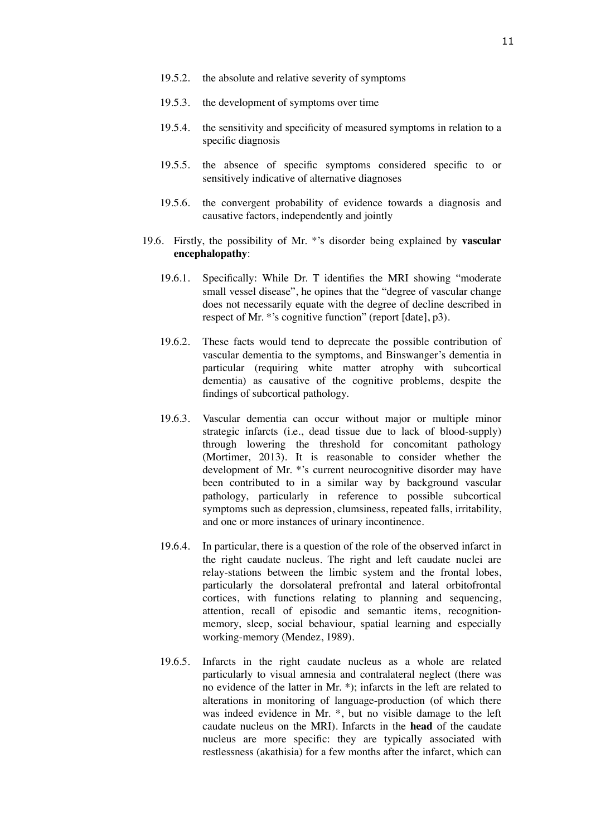- 19.5.2. the absolute and relative severity of symptoms
- 19.5.3. the development of symptoms over time
- 19.5.4. the sensitivity and specificity of measured symptoms in relation to a specific diagnosis
- 19.5.5. the absence of specific symptoms considered specific to or sensitively indicative of alternative diagnoses
- 19.5.6. the convergent probability of evidence towards a diagnosis and causative factors, independently and jointly
- 19.6. Firstly, the possibility of Mr. \*'s disorder being explained by **vascular encephalopathy**:
	- 19.6.1. Specifically: While Dr. T identifies the MRI showing "moderate small vessel disease", he opines that the "degree of vascular change does not necessarily equate with the degree of decline described in respect of Mr. \*'s cognitive function" (report [date], p3).
	- 19.6.2. These facts would tend to deprecate the possible contribution of vascular dementia to the symptoms, and Binswanger's dementia in particular (requiring white matter atrophy with subcortical dementia) as causative of the cognitive problems, despite the findings of subcortical pathology.
	- 19.6.3. Vascular dementia can occur without major or multiple minor strategic infarcts (i.e., dead tissue due to lack of blood-supply) through lowering the threshold for concomitant pathology (Mortimer, 2013). It is reasonable to consider whether the development of Mr. \*'s current neurocognitive disorder may have been contributed to in a similar way by background vascular pathology, particularly in reference to possible subcortical symptoms such as depression, clumsiness, repeated falls, irritability, and one or more instances of urinary incontinence.
	- 19.6.4. In particular, there is a question of the role of the observed infarct in the right caudate nucleus. The right and left caudate nuclei are relay-stations between the limbic system and the frontal lobes, particularly the dorsolateral prefrontal and lateral orbitofrontal cortices, with functions relating to planning and sequencing, attention, recall of episodic and semantic items, recognitionmemory, sleep, social behaviour, spatial learning and especially working-memory (Mendez, 1989).
	- 19.6.5. Infarcts in the right caudate nucleus as a whole are related particularly to visual amnesia and contralateral neglect (there was no evidence of the latter in Mr. \*); infarcts in the left are related to alterations in monitoring of language-production (of which there was indeed evidence in Mr.  $*$ , but no visible damage to the left caudate nucleus on the MRI). Infarcts in the **head** of the caudate nucleus are more specific: they are typically associated with restlessness (akathisia) for a few months after the infarct, which can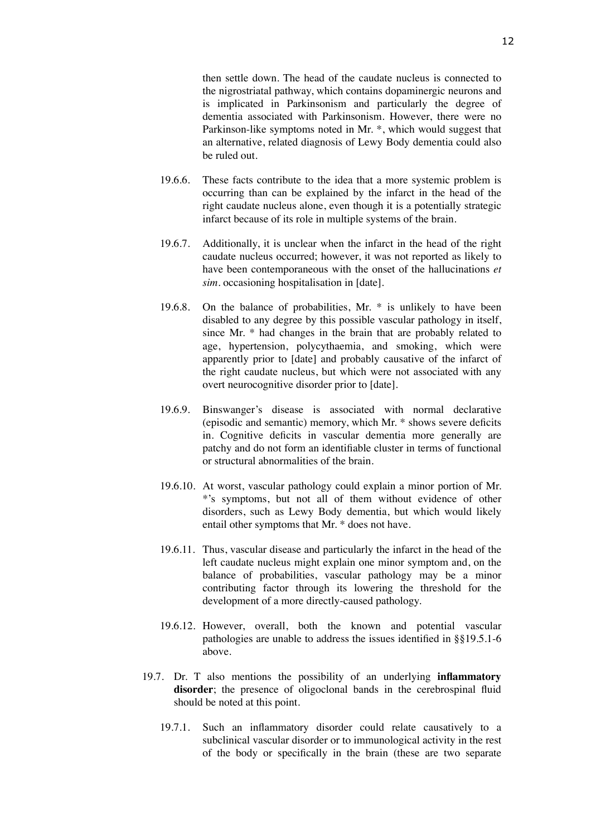then settle down. The head of the caudate nucleus is connected to the nigrostriatal pathway, which contains dopaminergic neurons and is implicated in Parkinsonism and particularly the degree of dementia associated with Parkinsonism. However, there were no Parkinson-like symptoms noted in Mr. \*, which would suggest that an alternative, related diagnosis of Lewy Body dementia could also be ruled out.

- 19.6.6. These facts contribute to the idea that a more systemic problem is occurring than can be explained by the infarct in the head of the right caudate nucleus alone, even though it is a potentially strategic infarct because of its role in multiple systems of the brain.
- 19.6.7. Additionally, it is unclear when the infarct in the head of the right caudate nucleus occurred; however, it was not reported as likely to have been contemporaneous with the onset of the hallucinations *et sim.* occasioning hospitalisation in [date].
- 19.6.8. On the balance of probabilities, Mr. \* is unlikely to have been disabled to any degree by this possible vascular pathology in itself, since Mr. \* had changes in the brain that are probably related to age, hypertension, polycythaemia, and smoking, which were apparently prior to [date] and probably causative of the infarct of the right caudate nucleus, but which were not associated with any overt neurocognitive disorder prior to [date].
- 19.6.9. Binswanger's disease is associated with normal declarative (episodic and semantic) memory, which Mr. \* shows severe deficits in. Cognitive deficits in vascular dementia more generally are patchy and do not form an identifiable cluster in terms of functional or structural abnormalities of the brain.
- 19.6.10. At worst, vascular pathology could explain a minor portion of Mr. \*'s symptoms, but not all of them without evidence of other disorders, such as Lewy Body dementia, but which would likely entail other symptoms that Mr. \* does not have.
- 19.6.11. Thus, vascular disease and particularly the infarct in the head of the left caudate nucleus might explain one minor symptom and, on the balance of probabilities, vascular pathology may be a minor contributing factor through its lowering the threshold for the development of a more directly-caused pathology.
- 19.6.12. However, overall, both the known and potential vascular pathologies are unable to address the issues identified in §§19.5.1-6 above.
- 19.7. Dr. T also mentions the possibility of an underlying **inflammatory**  disorder; the presence of oligoclonal bands in the cerebrospinal fluid should be noted at this point.
	- 19.7.1. Such an inflammatory disorder could relate causatively to a subclinical vascular disorder or to immunological activity in the rest of the body or specifically in the brain (these are two separate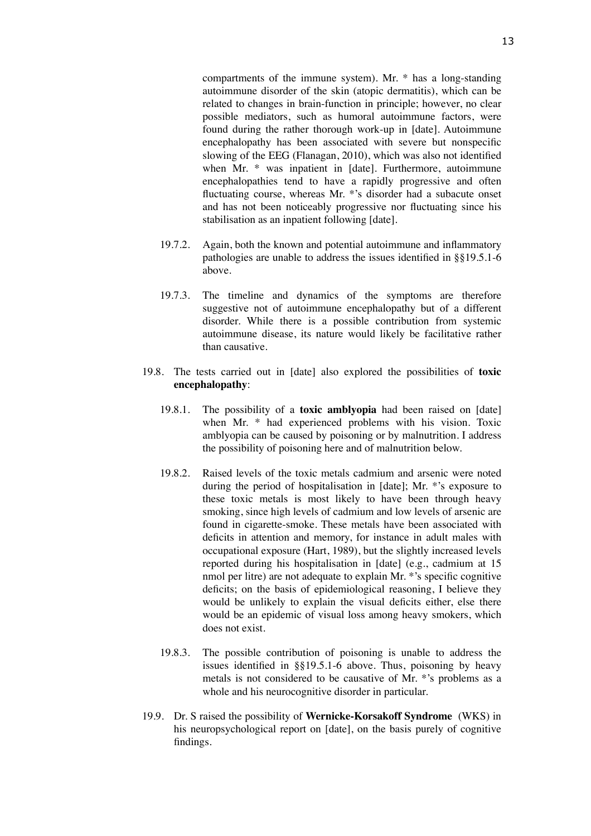compartments of the immune system). Mr. \* has a long-standing autoimmune disorder of the skin (atopic dermatitis), which can be related to changes in brain-function in principle; however, no clear possible mediators, such as humoral autoimmune factors, were found during the rather thorough work-up in [date]. Autoimmune encephalopathy has been associated with severe but nonspecific slowing of the EEG (Flanagan, 2010), which was also not identified when Mr. \* was inpatient in [date]. Furthermore, autoimmune encephalopathies tend to have a rapidly progressive and often fluctuating course, whereas Mr. \*'s disorder had a subacute onset and has not been noticeably progressive nor fluctuating since his stabilisation as an inpatient following [date].

- 19.7.2. Again, both the known and potential autoimmune and inflammatory pathologies are unable to address the issues identified in §§19.5.1-6 above.
- 19.7.3. The timeline and dynamics of the symptoms are therefore suggestive not of autoimmune encephalopathy but of a different disorder. While there is a possible contribution from systemic autoimmune disease, its nature would likely be facilitative rather than causative.
- 19.8. The tests carried out in [date] also explored the possibilities of **toxic encephalopathy**:
	- 19.8.1. The possibility of a **toxic amblyopia** had been raised on [date] when Mr. \* had experienced problems with his vision. Toxic amblyopia can be caused by poisoning or by malnutrition. I address the possibility of poisoning here and of malnutrition below.
	- 19.8.2. Raised levels of the toxic metals cadmium and arsenic were noted during the period of hospitalisation in [date]; Mr. \*'s exposure to these toxic metals is most likely to have been through heavy smoking, since high levels of cadmium and low levels of arsenic are found in cigarette-smoke. These metals have been associated with deficits in attention and memory, for instance in adult males with occupational exposure (Hart, 1989), but the slightly increased levels reported during his hospitalisation in [date] (e.g., cadmium at 15 nmol per litre) are not adequate to explain Mr. \*'s specific cognitive deficits; on the basis of epidemiological reasoning, I believe they would be unlikely to explain the visual deficits either, else there would be an epidemic of visual loss among heavy smokers, which does not exist.
	- 19.8.3. The possible contribution of poisoning is unable to address the issues identified in §§19.5.1-6 above. Thus, poisoning by heavy metals is not considered to be causative of Mr. \*'s problems as a whole and his neurocognitive disorder in particular.
- 19.9. Dr. S raised the possibility of **Wernicke-Korsakoff Syndrome** (WKS) in his neuropsychological report on [date], on the basis purely of cognitive findings.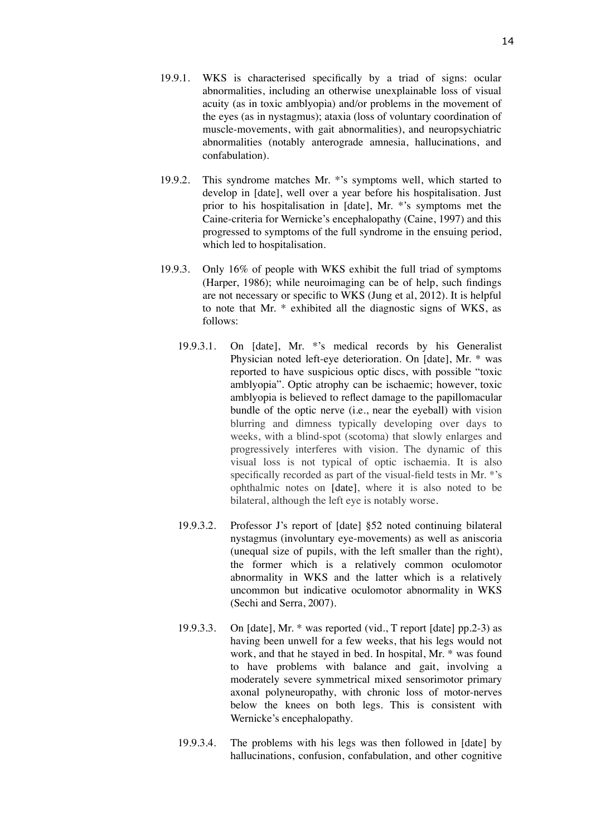- 19.9.1. WKS is characterised specifically by a triad of signs: ocular abnormalities, including an otherwise unexplainable loss of visual acuity (as in toxic amblyopia) and/or problems in the movement of the eyes (as in nystagmus); ataxia (loss of voluntary coordination of muscle-movements, with gait abnormalities), and neuropsychiatric abnormalities (notably anterograde amnesia, hallucinations, and confabulation).
- 19.9.2. This syndrome matches Mr. \*'s symptoms well, which started to develop in [date], well over a year before his hospitalisation. Just prior to his hospitalisation in [date], Mr. \*'s symptoms met the Caine-criteria for Wernicke's encephalopathy (Caine, 1997) and this progressed to symptoms of the full syndrome in the ensuing period, which led to hospitalisation.
- 19.9.3. Only 16% of people with WKS exhibit the full triad of symptoms (Harper, 1986); while neuroimaging can be of help, such findings are not necessary or specific to WKS (Jung et al, 2012). It is helpful to note that Mr. \* exhibited all the diagnostic signs of WKS, as follows:
	- 19.9.3.1. On [date], Mr. \*'s medical records by his Generalist Physician noted left-eye deterioration. On [date], Mr. \* was reported to have suspicious optic discs, with possible "toxic amblyopia". Optic atrophy can be ischaemic; however, toxic amblyopia is believed to reflect damage to the papillomacular bundle of the optic nerve (i.e., near the eyeball) with vision blurring and dimness typically developing over days to weeks, with a blind-spot (scotoma) that slowly enlarges and progressively interferes with vision. The dynamic of this visual loss is not typical of optic ischaemia. It is also specifically recorded as part of the visual-field tests in Mr. \*'s ophthalmic notes on [date], where it is also noted to be bilateral, although the left eye is notably worse.
	- 19.9.3.2. Professor J's report of [date] §52 noted continuing bilateral nystagmus (involuntary eye-movements) as well as aniscoria (unequal size of pupils, with the left smaller than the right), the former which is a relatively common oculomotor abnormality in WKS and the latter which is a relatively uncommon but indicative oculomotor abnormality in WKS (Sechi and Serra, 2007).
	- 19.9.3.3. On [date], Mr. \* was reported (vid., T report [date] pp.2-3) as having been unwell for a few weeks, that his legs would not work, and that he stayed in bed. In hospital, Mr. \* was found to have problems with balance and gait, involving a moderately severe symmetrical mixed sensorimotor primary axonal polyneuropathy, with chronic loss of motor-nerves below the knees on both legs. This is consistent with Wernicke's encephalopathy.
	- 19.9.3.4. The problems with his legs was then followed in [date] by hallucinations, confusion, confabulation, and other cognitive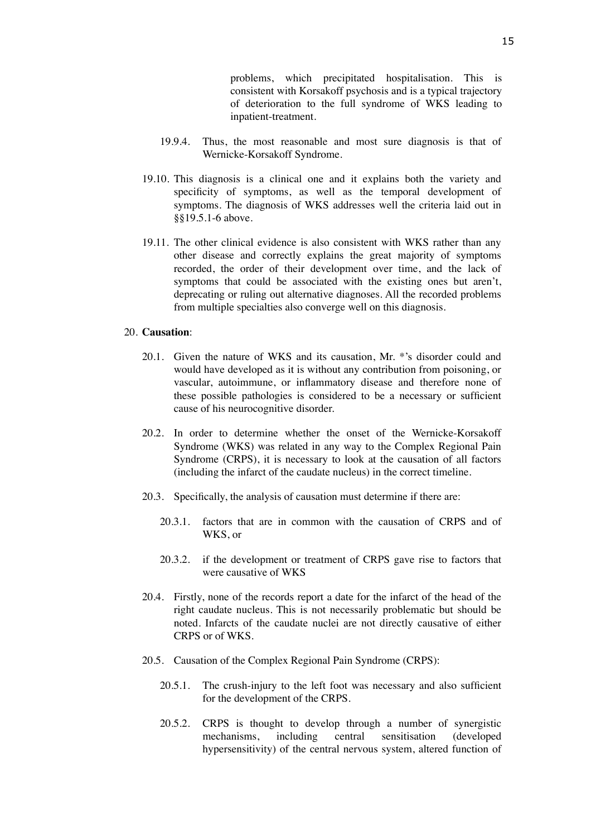problems, which precipitated hospitalisation. This is consistent with Korsakoff psychosis and is a typical trajectory of deterioration to the full syndrome of WKS leading to inpatient-treatment.

- 19.9.4. Thus, the most reasonable and most sure diagnosis is that of Wernicke-Korsakoff Syndrome.
- 19.10. This diagnosis is a clinical one and it explains both the variety and specificity of symptoms, as well as the temporal development of symptoms. The diagnosis of WKS addresses well the criteria laid out in §§19.5.1-6 above.
- 19.11. The other clinical evidence is also consistent with WKS rather than any other disease and correctly explains the great majority of symptoms recorded, the order of their development over time, and the lack of symptoms that could be associated with the existing ones but aren't, deprecating or ruling out alternative diagnoses. All the recorded problems from multiple specialties also converge well on this diagnosis.

## 20. **Causation**:

- 20.1. Given the nature of WKS and its causation, Mr. \*'s disorder could and would have developed as it is without any contribution from poisoning, or vascular, autoimmune, or inflammatory disease and therefore none of these possible pathologies is considered to be a necessary or sufficient cause of his neurocognitive disorder.
- 20.2. In order to determine whether the onset of the Wernicke-Korsakoff Syndrome (WKS) was related in any way to the Complex Regional Pain Syndrome (CRPS), it is necessary to look at the causation of all factors (including the infarct of the caudate nucleus) in the correct timeline.
- 20.3. Specifically, the analysis of causation must determine if there are:
	- 20.3.1. factors that are in common with the causation of CRPS and of WKS, or
	- 20.3.2. if the development or treatment of CRPS gave rise to factors that were causative of WKS
- 20.4. Firstly, none of the records report a date for the infarct of the head of the right caudate nucleus. This is not necessarily problematic but should be noted. Infarcts of the caudate nuclei are not directly causative of either CRPS or of WKS.
- 20.5. Causation of the Complex Regional Pain Syndrome (CRPS):
	- 20.5.1. The crush-injury to the left foot was necessary and also sufficient for the development of the CRPS.
	- 20.5.2. CRPS is thought to develop through a number of synergistic mechanisms, including central sensitisation (developed hypersensitivity) of the central nervous system, altered function of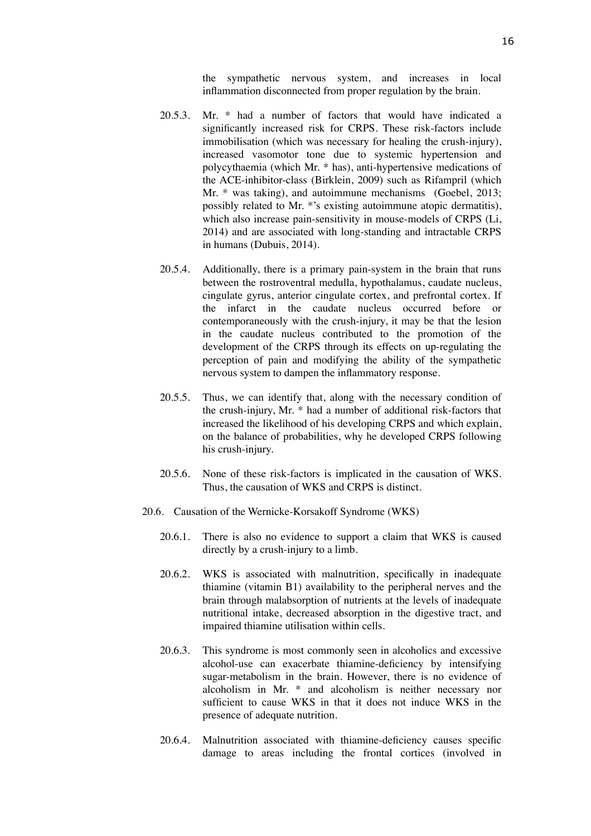the sympathetic nervous system, and increases in local inflammation disconnected from proper regulation by the brain.

- 20.5.3. Mr. \* had a number of factors that would have indicated a significantly increased risk for CRPS. These risk-factors include immobilisation (which was necessary for healing the crush-injury), increased vasomotor tone due to systemic hypertension and polycythaemia (which Mr. \* has), anti-hypertensive medications of the ACE-inhibitor-class (Birklein, 2009) such as Rifampril (which Mr. \* was taking), and autoimmune mechanisms (Goebel, 2013; possibly related to Mr. \*'s existing autoimmune atopic dermatitis), which also increase pain-sensitivity in mouse-models of CRPS (Li, 2014) and are associated with long-standing and intractable CRPS in humans (Dubuis, 2014).
- 20.5.4. Additionally, there is a primary pain-system in the brain that runs between the rostroventral medulla, hypothalamus, caudate nucleus, cingulate gyrus, anterior cingulate cortex, and prefrontal cortex. If the infarct in the caudate nucleus occurred before or contemporaneously with the crush-injury, it may be that the lesion in the caudate nucleus contributed to the promotion of the development of the CRPS through its effects on up-regulating the perception of pain and modifying the ability of the sympathetic nervous system to dampen the inflammatory response.
- 20.5.5. Thus, we can identify that, along with the necessary condition of the crush-injury, Mr. \* had a number of additional risk-factors that increased the likelihood of his developing CRPS and which explain, on the balance of probabilities, why he developed CRPS following his crush-injury.
- 20.5.6. None of these risk-factors is implicated in the causation of WKS. Thus, the causation of WKS and CRPS is distinct.
- 20.6. Causation of the Wernicke-Korsakoff Syndrome (WKS)
	- 20.6.1. There is also no evidence to support a claim that WKS is caused directly by a crush-injury to a limb.
	- 20.6.2. WKS is associated with malnutrition, specifically in inadequate thiamine (vitamin B1) availability to the peripheral nerves and the brain through malabsorption of nutrients at the levels of inadequate nutritional intake, decreased absorption in the digestive tract, and impaired thiamine utilisation within cells.
	- 20.6.3. This syndrome is most commonly seen in alcoholics and excessive alcohol-use can exacerbate thiamine-deficiency by intensifying sugar-metabolism in the brain. However, there is no evidence of alcoholism in Mr. \* and alcoholism is neither necessary nor sufficient to cause WKS in that it does not induce WKS in the presence of adequate nutrition.
	- 20.6.4. Malnutrition associated with thiamine-deficiency causes specific damage to areas including the frontal cortices (involved in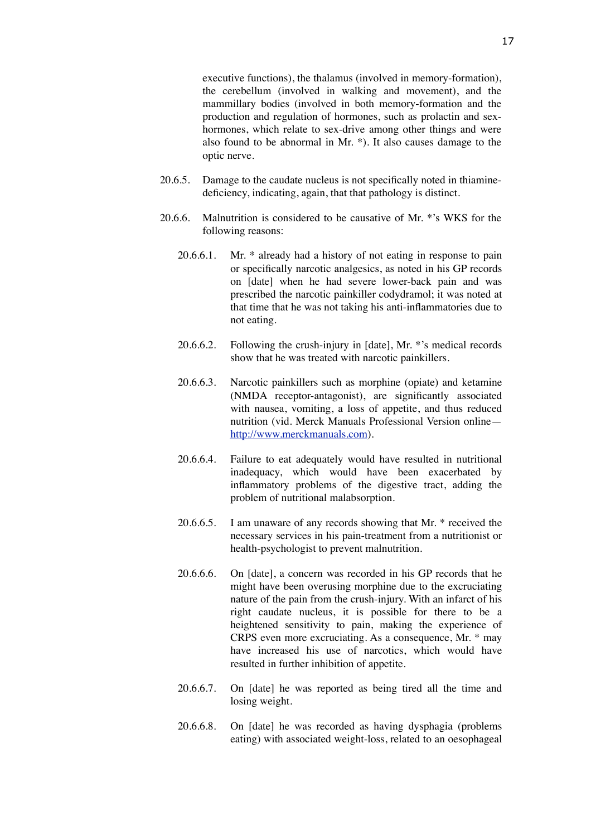executive functions), the thalamus (involved in memory-formation), the cerebellum (involved in walking and movement), and the mammillary bodies (involved in both memory-formation and the production and regulation of hormones, such as prolactin and sexhormones, which relate to sex-drive among other things and were also found to be abnormal in Mr. \*). It also causes damage to the optic nerve.

- 20.6.5. Damage to the caudate nucleus is not specifically noted in thiaminedeficiency, indicating, again, that that pathology is distinct.
- 20.6.6. Malnutrition is considered to be causative of Mr. \*'s WKS for the following reasons:
	- 20.6.6.1. Mr. \* already had a history of not eating in response to pain or specifically narcotic analgesics, as noted in his GP records on [date] when he had severe lower-back pain and was prescribed the narcotic painkiller codydramol; it was noted at that time that he was not taking his anti-inflammatories due to not eating.
	- 20.6.6.2. Following the crush-injury in [date], Mr. \*'s medical records show that he was treated with narcotic painkillers.
	- 20.6.6.3. Narcotic painkillers such as morphine (opiate) and ketamine (NMDA receptor-antagonist), are significantly associated with nausea, vomiting, a loss of appetite, and thus reduced nutrition (vid. Merck Manuals Professional Version online [http://www.merckmanuals.com\)](http://www.merckmanuals.com/).
	- 20.6.6.4. Failure to eat adequately would have resulted in nutritional inadequacy, which would have been exacerbated by inflammatory problems of the digestive tract, adding the problem of nutritional malabsorption.
	- 20.6.6.5. I am unaware of any records showing that Mr. \* received the necessary services in his pain-treatment from a nutritionist or health-psychologist to prevent malnutrition.
	- 20.6.6.6. On [date], a concern was recorded in his GP records that he might have been overusing morphine due to the excruciating nature of the pain from the crush-injury. With an infarct of his right caudate nucleus, it is possible for there to be a heightened sensitivity to pain, making the experience of CRPS even more excruciating. As a consequence, Mr. \* may have increased his use of narcotics, which would have resulted in further inhibition of appetite.
	- 20.6.6.7. On [date] he was reported as being tired all the time and losing weight.
	- 20.6.6.8. On [date] he was recorded as having dysphagia (problems eating) with associated weight-loss, related to an oesophageal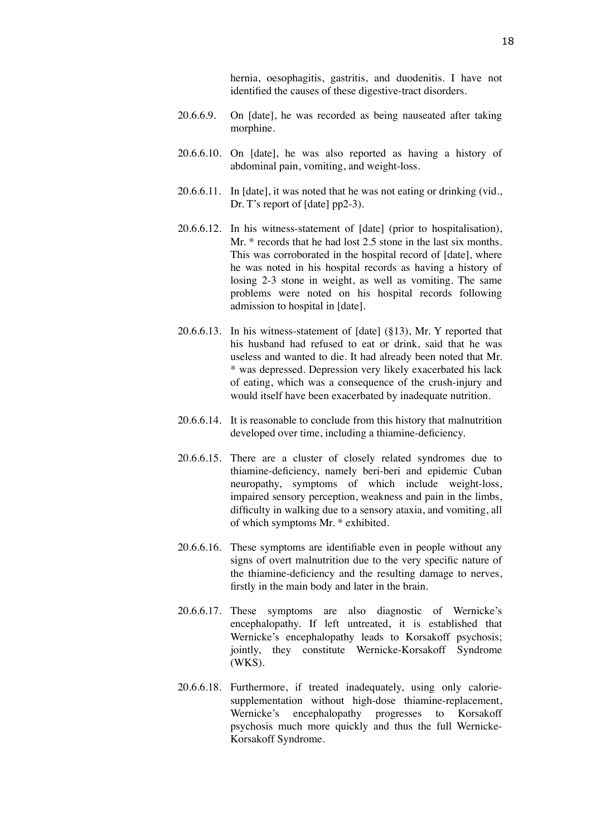hernia, oesophagitis, gastritis, and duodenitis. I have not identified the causes of these digestive-tract disorders.

- 20.6.6.9. On [date], he was recorded as being nauseated after taking morphine.
- 20.6.6.10. On [date], he was also reported as having a history of abdominal pain, vomiting, and weight-loss.
- 20.6.6.11. In [date], it was noted that he was not eating or drinking (vid., Dr. T's report of [date] pp2-3).
- 20.6.6.12. In his witness-statement of [date] (prior to hospitalisation), Mr. \* records that he had lost 2.5 stone in the last six months. This was corroborated in the hospital record of [date], where he was noted in his hospital records as having a history of losing 2-3 stone in weight, as well as vomiting. The same problems were noted on his hospital records following admission to hospital in [date].
- 20.6.6.13. In his witness-statement of [date] (§13), Mr. Y reported that his husband had refused to eat or drink, said that he was useless and wanted to die. It had already been noted that Mr. \* was depressed. Depression very likely exacerbated his lack of eating, which was a consequence of the crush-injury and would itself have been exacerbated by inadequate nutrition.
- 20.6.6.14. It is reasonable to conclude from this history that malnutrition developed over time, including a thiamine-deficiency.
- 20.6.6.15. There are a cluster of closely related syndromes due to thiamine-deficiency, namely beri-beri and epidemic Cuban neuropathy, symptoms of which include weight-loss, impaired sensory perception, weakness and pain in the limbs, difficulty in walking due to a sensory ataxia, and vomiting, all of which symptoms Mr. \* exhibited.
- 20.6.6.16. These symptoms are identifiable even in people without any signs of overt malnutrition due to the very specific nature of the thiamine-deficiency and the resulting damage to nerves, firstly in the main body and later in the brain.
- 20.6.6.17. These symptoms are also diagnostic of Wernicke's encephalopathy. If left untreated, it is established that Wernicke's encephalopathy leads to Korsakoff psychosis; jointly, they constitute Wernicke-Korsakoff Syndrome (WKS).
- 20.6.6.18. Furthermore, if treated inadequately, using only caloriesupplementation without high-dose thiamine-replacement, Wernicke's encephalopathy progresses to Korsakoff psychosis much more quickly and thus the full Wernicke-Korsakoff Syndrome.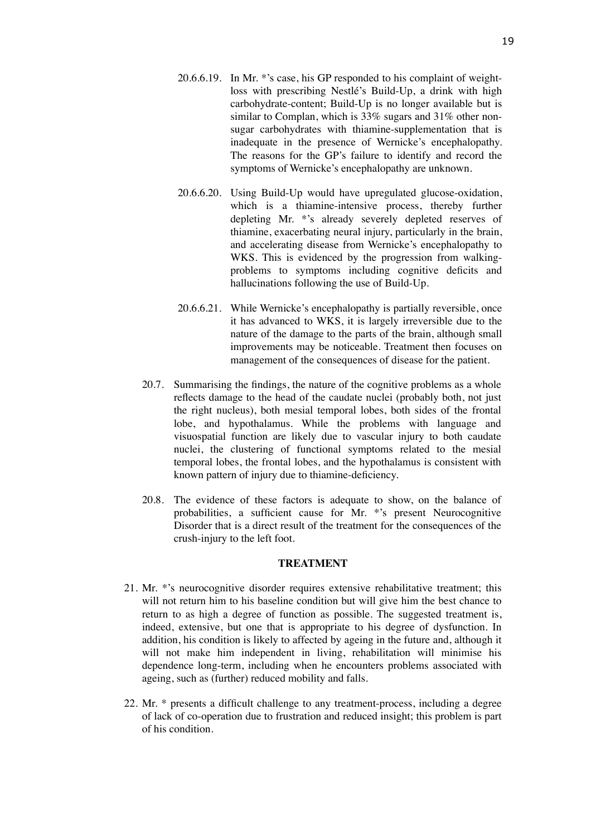- 20.6.6.19. In Mr. \*'s case, his GP responded to his complaint of weightloss with prescribing Nestlé's Build-Up, a drink with high carbohydrate-content; Build-Up is no longer available but is similar to Complan, which is 33% sugars and 31% other nonsugar carbohydrates with thiamine-supplementation that is inadequate in the presence of Wernicke's encephalopathy. The reasons for the GP's failure to identify and record the symptoms of Wernicke's encephalopathy are unknown.
- 20.6.6.20. Using Build-Up would have upregulated glucose-oxidation, which is a thiamine-intensive process, thereby further depleting Mr. \*'s already severely depleted reserves of thiamine, exacerbating neural injury, particularly in the brain, and accelerating disease from Wernicke's encephalopathy to WKS. This is evidenced by the progression from walkingproblems to symptoms including cognitive deficits and hallucinations following the use of Build-Up.
- 20.6.6.21. While Wernicke's encephalopathy is partially reversible, once it has advanced to WKS, it is largely irreversible due to the nature of the damage to the parts of the brain, although small improvements may be noticeable. Treatment then focuses on management of the consequences of disease for the patient.
- 20.7. Summarising the findings, the nature of the cognitive problems as a whole reflects damage to the head of the caudate nuclei (probably both, not just the right nucleus), both mesial temporal lobes, both sides of the frontal lobe, and hypothalamus. While the problems with language and visuospatial function are likely due to vascular injury to both caudate nuclei, the clustering of functional symptoms related to the mesial temporal lobes, the frontal lobes, and the hypothalamus is consistent with known pattern of injury due to thiamine-deficiency.
- 20.8. The evidence of these factors is adequate to show, on the balance of probabilities, a sufficient cause for Mr. \*'s present Neurocognitive Disorder that is a direct result of the treatment for the consequences of the crush-injury to the left foot.

#### **TREATMENT**

- 21. Mr. \*'s neurocognitive disorder requires extensive rehabilitative treatment; this will not return him to his baseline condition but will give him the best chance to return to as high a degree of function as possible. The suggested treatment is, indeed, extensive, but one that is appropriate to his degree of dysfunction. In addition, his condition is likely to affected by ageing in the future and, although it will not make him independent in living, rehabilitation will minimise his dependence long-term, including when he encounters problems associated with ageing, such as (further) reduced mobility and falls.
- 22. Mr. \* presents a difficult challenge to any treatment-process, including a degree of lack of co-operation due to frustration and reduced insight; this problem is part of his condition.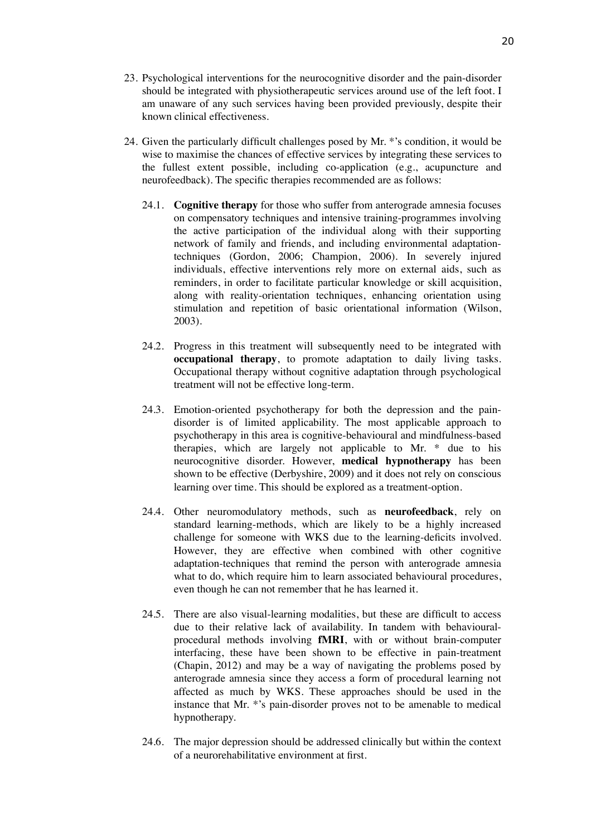- 23. Psychological interventions for the neurocognitive disorder and the pain-disorder should be integrated with physiotherapeutic services around use of the left foot. I am unaware of any such services having been provided previously, despite their known clinical effectiveness.
- 24. Given the particularly difficult challenges posed by Mr. \*'s condition, it would be wise to maximise the chances of effective services by integrating these services to the fullest extent possible, including co-application (e.g., acupuncture and neurofeedback). The specific therapies recommended are as follows:
	- 24.1. **Cognitive therapy** for those who suffer from anterograde amnesia focuses on compensatory techniques and intensive training-programmes involving the active participation of the individual along with their supporting network of family and friends, and including environmental adaptationtechniques (Gordon, 2006; Champion, 2006). In severely injured individuals, effective interventions rely more on external aids, such as reminders, in order to facilitate particular knowledge or skill acquisition, along with reality-orientation techniques, enhancing orientation using stimulation and repetition of basic orientational information (Wilson, 2003).
	- 24.2. Progress in this treatment will subsequently need to be integrated with **occupational therapy**, to promote adaptation to daily living tasks. Occupational therapy without cognitive adaptation through psychological treatment will not be effective long-term.
	- 24.3. Emotion-oriented psychotherapy for both the depression and the paindisorder is of limited applicability. The most applicable approach to psychotherapy in this area is cognitive-behavioural and mindfulness-based therapies, which are largely not applicable to Mr. \* due to his neurocognitive disorder. However, **medical hypnotherapy** has been shown to be effective (Derbyshire, 2009) and it does not rely on conscious learning over time. This should be explored as a treatment-option.
	- 24.4. Other neuromodulatory methods, such as **neurofeedback**, rely on standard learning-methods, which are likely to be a highly increased challenge for someone with WKS due to the learning-deficits involved. However, they are effective when combined with other cognitive adaptation-techniques that remind the person with anterograde amnesia what to do, which require him to learn associated behavioural procedures, even though he can not remember that he has learned it.
	- 24.5. There are also visual-learning modalities, but these are difficult to access due to their relative lack of availability. In tandem with behaviouralprocedural methods involving **fMRI**, with or without brain-computer interfacing, these have been shown to be effective in pain-treatment (Chapin, 2012) and may be a way of navigating the problems posed by anterograde amnesia since they access a form of procedural learning not affected as much by WKS. These approaches should be used in the instance that Mr. \*'s pain-disorder proves not to be amenable to medical hypnotherapy.
	- 24.6. The major depression should be addressed clinically but within the context of a neurorehabilitative environment at first.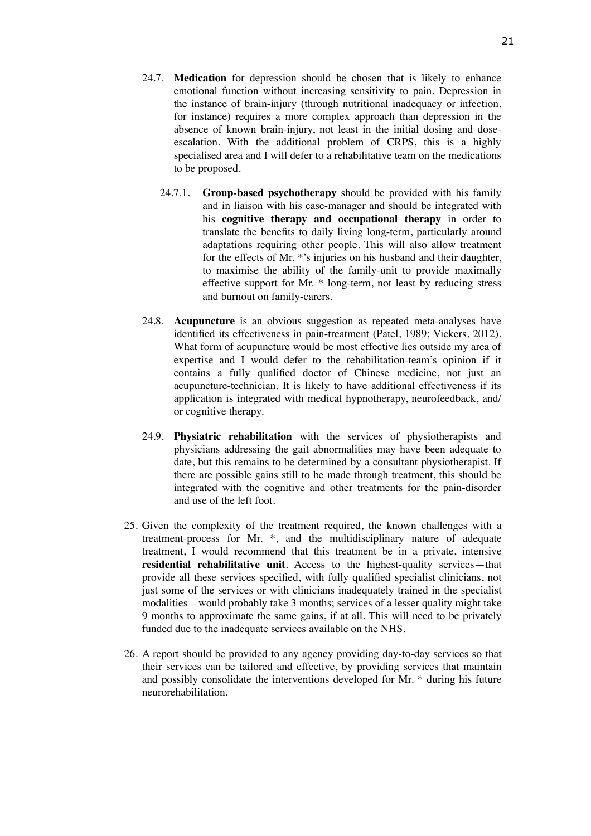- 24.7. **Medication** for depression should be chosen that is likely to enhance emotional function without increasing sensitivity to pain. Depression in the instance of brain-injury (through nutritional inadequacy or infection, for instance) requires a more complex approach than depression in the absence of known brain-injury, not least in the initial dosing and doseescalation. With the additional problem of CRPS, this is a highly specialised area and I will defer to a rehabilitative team on the medications to be proposed.
	- 24.7.1. **Group-based psychotherapy** should be provided with his family and in liaison with his case-manager and should be integrated with his **cognitive therapy and occupational therapy** in order to translate the benefits to daily living long-term, particularly around adaptations requiring other people. This will also allow treatment for the effects of Mr. \*'s injuries on his husband and their daughter, to maximise the ability of the family-unit to provide maximally effective support for Mr. \* long-term, not least by reducing stress and burnout on family-carers.
- 24.8. **Acupuncture** is an obvious suggestion as repeated meta-analyses have identified its effectiveness in pain-treatment (Patel, 1989; Vickers, 2012). What form of acupuncture would be most effective lies outside my area of expertise and I would defer to the rehabilitation-team's opinion if it contains a fully qualified doctor of Chinese medicine, not just an acupuncture-technician. It is likely to have additional effectiveness if its application is integrated with medical hypnotherapy, neurofeedback, and/ or cognitive therapy.
- 24.9. **Physiatric rehabilitation** with the services of physiotherapists and physicians addressing the gait abnormalities may have been adequate to date, but this remains to be determined by a consultant physiotherapist. If there are possible gains still to be made through treatment, this should be integrated with the cognitive and other treatments for the pain-disorder and use of the left foot.
- 25. Given the complexity of the treatment required, the known challenges with a treatment-process for Mr. \*, and the multidisciplinary nature of adequate treatment, I would recommend that this treatment be in a private, intensive **residential rehabilitative unit**. Access to the highest-quality services—that provide all these services specified, with fully qualified specialist clinicians, not just some of the services or with clinicians inadequately trained in the specialist modalities—would probably take 3 months; services of a lesser quality might take 9 months to approximate the same gains, if at all. This will need to be privately funded due to the inadequate services available on the NHS.
- 26. A report should be provided to any agency providing day-to-day services so that their services can be tailored and effective, by providing services that maintain and possibly consolidate the interventions developed for Mr. \* during his future neurorehabilitation.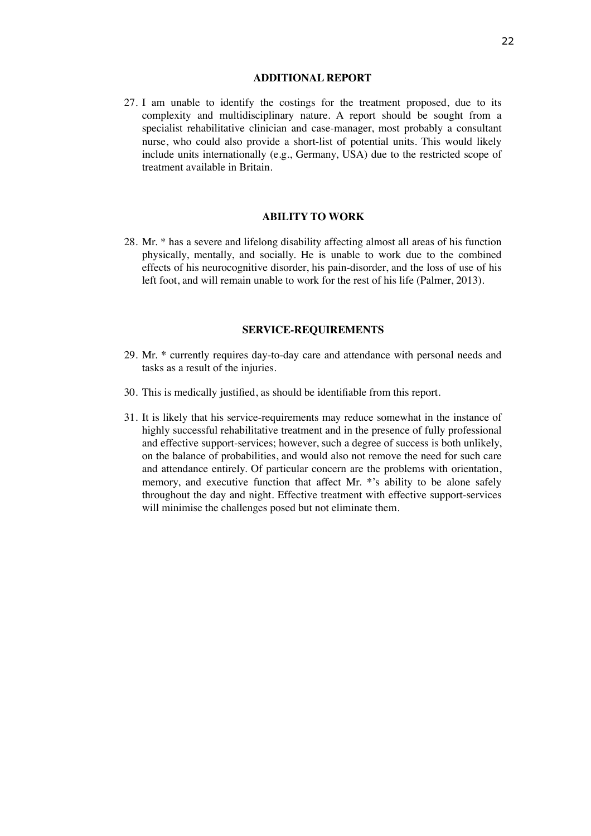#### **ADDITIONAL REPORT**

27. I am unable to identify the costings for the treatment proposed, due to its complexity and multidisciplinary nature. A report should be sought from a specialist rehabilitative clinician and case-manager, most probably a consultant nurse, who could also provide a short-list of potential units. This would likely include units internationally (e.g., Germany, USA) due to the restricted scope of treatment available in Britain.

#### **ABILITY TO WORK**

28. Mr. \* has a severe and lifelong disability affecting almost all areas of his function physically, mentally, and socially. He is unable to work due to the combined effects of his neurocognitive disorder, his pain-disorder, and the loss of use of his left foot, and will remain unable to work for the rest of his life (Palmer, 2013).

#### **SERVICE-REQUIREMENTS**

- 29. Mr. \* currently requires day-to-day care and attendance with personal needs and tasks as a result of the injuries.
- 30. This is medically justified, as should be identifiable from this report.
- 31. It is likely that his service-requirements may reduce somewhat in the instance of highly successful rehabilitative treatment and in the presence of fully professional and effective support-services; however, such a degree of success is both unlikely, on the balance of probabilities, and would also not remove the need for such care and attendance entirely. Of particular concern are the problems with orientation, memory, and executive function that affect Mr. \*'s ability to be alone safely throughout the day and night. Effective treatment with effective support-services will minimise the challenges posed but not eliminate them.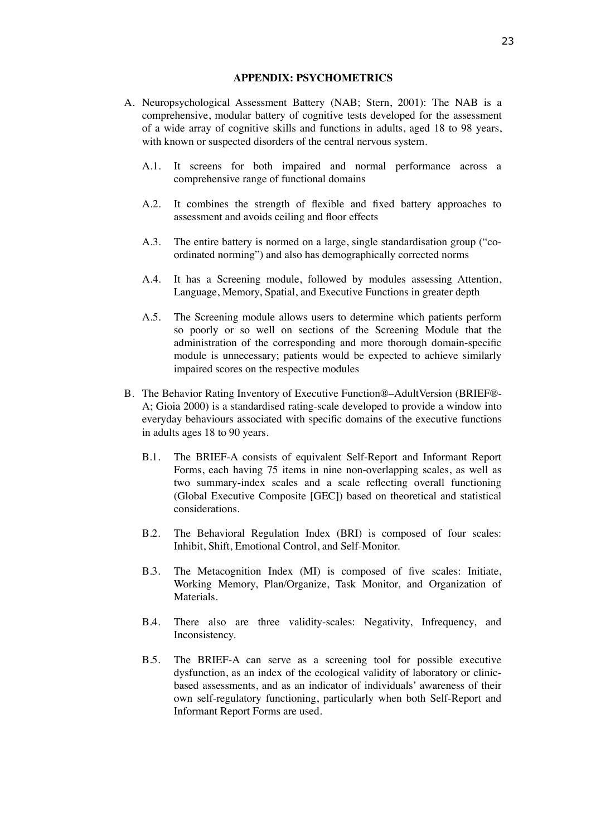#### **APPENDIX: PSYCHOMETRICS**

- A. Neuropsychological Assessment Battery (NAB; Stern, 2001): The NAB is a comprehensive, modular battery of cognitive tests developed for the assessment of a wide array of cognitive skills and functions in adults, aged 18 to 98 years, with known or suspected disorders of the central nervous system.
	- A.1. It screens for both impaired and normal performance across a comprehensive range of functional domains
	- A.2. It combines the strength of flexible and fixed battery approaches to assessment and avoids ceiling and floor effects
	- A.3. The entire battery is normed on a large, single standardisation group ("coordinated norming") and also has demographically corrected norms
	- A.4. It has a Screening module, followed by modules assessing Attention, Language, Memory, Spatial, and Executive Functions in greater depth
	- A.5. The Screening module allows users to determine which patients perform so poorly or so well on sections of the Screening Module that the administration of the corresponding and more thorough domain-specific module is unnecessary; patients would be expected to achieve similarly impaired scores on the respective modules
- B. The Behavior Rating Inventory of Executive Function®–AdultVersion (BRIEF®- A; Gioia 2000) is a standardised rating-scale developed to provide a window into everyday behaviours associated with specific domains of the executive functions in adults ages 18 to 90 years.
	- B.1. The BRIEF-A consists of equivalent Self-Report and Informant Report Forms, each having 75 items in nine non-overlapping scales, as well as two summary-index scales and a scale reflecting overall functioning (Global Executive Composite [GEC]) based on theoretical and statistical considerations.
	- B.2. The Behavioral Regulation Index (BRI) is composed of four scales: Inhibit, Shift, Emotional Control, and Self-Monitor.
	- B.3. The Metacognition Index (MI) is composed of five scales: Initiate, Working Memory, Plan/Organize, Task Monitor, and Organization of Materials.
	- B.4. There also are three validity-scales: Negativity, Infrequency, and Inconsistency.
	- B.5. The BRIEF-A can serve as a screening tool for possible executive dysfunction, as an index of the ecological validity of laboratory or clinicbased assessments, and as an indicator of individuals' awareness of their own self-regulatory functioning, particularly when both Self-Report and Informant Report Forms are used.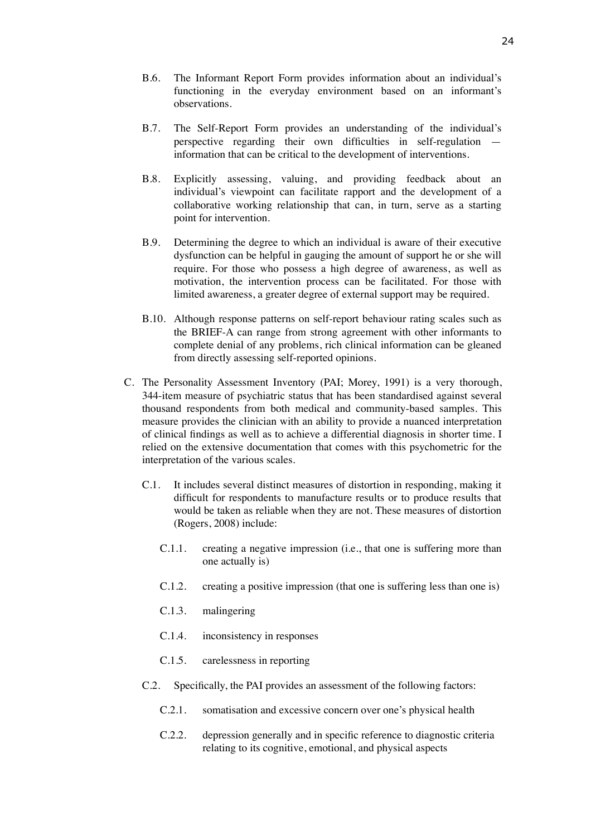- B.6. The Informant Report Form provides information about an individual's functioning in the everyday environment based on an informant's observations.
- B.7. The Self-Report Form provides an understanding of the individual's perspective regarding their own difficulties in self-regulation information that can be critical to the development of interventions.
- B.8. Explicitly assessing, valuing, and providing feedback about an individual's viewpoint can facilitate rapport and the development of a collaborative working relationship that can, in turn, serve as a starting point for intervention.
- B.9. Determining the degree to which an individual is aware of their executive dysfunction can be helpful in gauging the amount of support he or she will require. For those who possess a high degree of awareness, as well as motivation, the intervention process can be facilitated. For those with limited awareness, a greater degree of external support may be required.
- B.10. Although response patterns on self-report behaviour rating scales such as the BRIEF-A can range from strong agreement with other informants to complete denial of any problems, rich clinical information can be gleaned from directly assessing self-reported opinions.
- C. The Personality Assessment Inventory (PAI; Morey, 1991) is a very thorough, 344-item measure of psychiatric status that has been standardised against several thousand respondents from both medical and community-based samples. This measure provides the clinician with an ability to provide a nuanced interpretation of clinical findings as well as to achieve a differential diagnosis in shorter time. I relied on the extensive documentation that comes with this psychometric for the interpretation of the various scales.
	- C.1. It includes several distinct measures of distortion in responding, making it difficult for respondents to manufacture results or to produce results that would be taken as reliable when they are not. These measures of distortion (Rogers, 2008) include:
		- C.1.1. creating a negative impression (i.e., that one is suffering more than one actually is)
		- C.1.2. creating a positive impression (that one is suffering less than one is)
		- C.1.3. malingering
		- C.1.4. inconsistency in responses
		- C.1.5. carelessness in reporting
	- C.2. Specifically, the PAI provides an assessment of the following factors:
		- C.2.1. somatisation and excessive concern over one's physical health
		- C.2.2. depression generally and in specific reference to diagnostic criteria relating to its cognitive, emotional, and physical aspects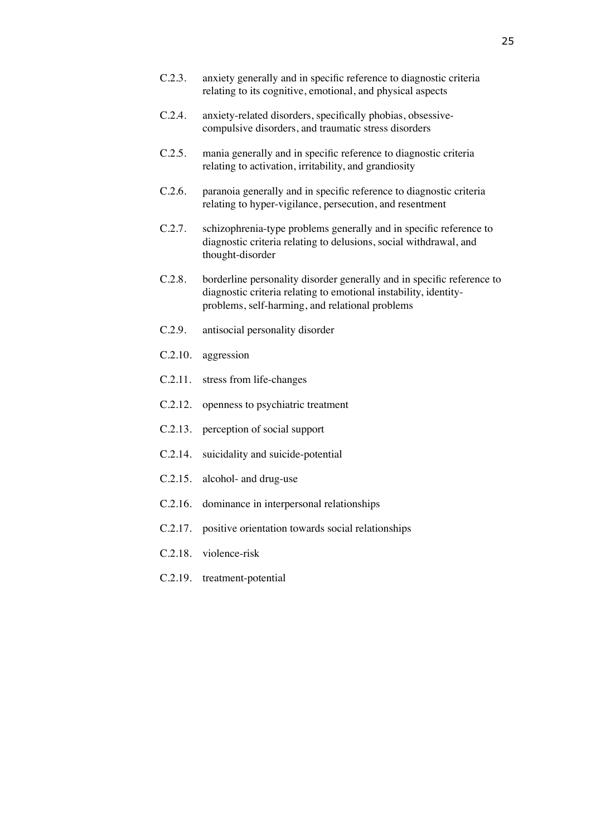- C.2.3. anxiety generally and in specific reference to diagnostic criteria relating to its cognitive, emotional, and physical aspects
- C.2.4. anxiety-related disorders, specifically phobias, obsessivecompulsive disorders, and traumatic stress disorders
- C.2.5. mania generally and in specific reference to diagnostic criteria relating to activation, irritability, and grandiosity
- C.2.6. paranoia generally and in specific reference to diagnostic criteria relating to hyper-vigilance, persecution, and resentment
- C.2.7. schizophrenia-type problems generally and in specific reference to diagnostic criteria relating to delusions, social withdrawal, and thought-disorder
- C.2.8. borderline personality disorder generally and in specific reference to diagnostic criteria relating to emotional instability, identityproblems, self-harming, and relational problems
- C.2.9. antisocial personality disorder
- C.2.10. aggression
- C.2.11. stress from life-changes
- C.2.12. openness to psychiatric treatment
- C.2.13. perception of social support
- C.2.14. suicidality and suicide-potential
- C.2.15. alcohol- and drug-use
- C.2.16. dominance in interpersonal relationships
- C.2.17. positive orientation towards social relationships
- C.2.18. violence-risk
- C.2.19. treatment-potential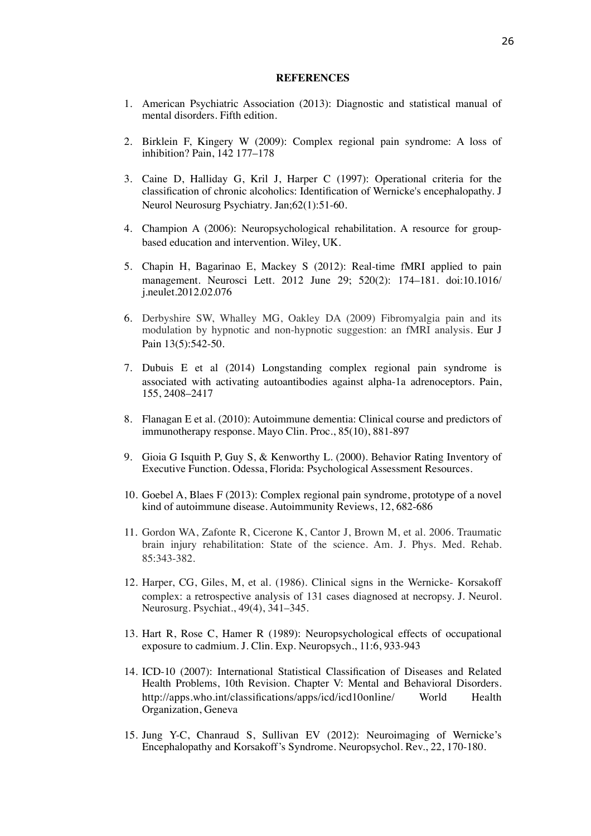#### **REFERENCES**

- 1. American Psychiatric Association (2013): Diagnostic and statistical manual of mental disorders. Fifth edition.
- 2. Birklein F, Kingery W (2009): Complex regional pain syndrome: A loss of inhibition? Pain, 142 177–178
- 3. Caine D, Halliday G, Kril J, Harper C (1997): Operational criteria for the classification of chronic alcoholics: Identification of Wernicke's encephalopathy. [J](http://www.ncbi.nlm.nih.gov/pubmed/9010400#) [Neurol Neurosurg Psychiatry.](http://www.ncbi.nlm.nih.gov/pubmed/9010400#) Jan;62(1):51-60.
- 4. Champion A (2006): Neuropsychological rehabilitation. A resource for groupbased education and intervention. Wiley, UK.
- 5. Chapin H, Bagarinao E, Mackey S (2012): Real-time fMRI applied to pain management. Neurosci Lett. 2012 June 29; 520(2): 174–181. doi:10.1016/ j.neulet.2012.02.076
- 6. Derbyshire SW, Whalley MG, Oakley DA (2009) Fibromyalgia pain and its modulation by hypnotic and non-hypnotic suggestion: an fMRI analysis. Eur J Pain 13(5):542-50.
- 7. Dubuis E et al (2014) Longstanding complex regional pain syndrome is associated with activating autoantibodies against alpha-1a adrenoceptors. Pain, 155, 2408–2417
- 8. Flanagan E et al. (2010): Autoimmune dementia: Clinical course and predictors of immunotherapy response. Mayo Clin. Proc., 85(10), 881-897
- 9. Gioia G Isquith P, Guy S, & Kenworthy L. (2000). Behavior Rating Inventory of Executive Function. Odessa, Florida: Psychological Assessment Resources.
- 10. Goebel A, Blaes F (2013): Complex regional pain syndrome, prototype of a novel kind of autoimmune disease. Autoimmunity Reviews, 12, 682-686
- 11. Gordon WA, Zafonte R, Cicerone K, Cantor J, Brown M, et al. 2006. Traumatic brain injury rehabilitation: State of the science. Am. J. Phys. Med. Rehab. 85:343-382.
- 12. Harper, CG, Giles, M, et al. (1986). Clinical signs in the Wernicke- Korsakoff complex: a retrospective analysis of 131 cases diagnosed at necropsy. J. Neurol. Neurosurg. Psychiat., 49(4), 341–345.
- 13. Hart R, Rose C, Hamer R (1989): Neuropsychological effects of occupational exposure to cadmium. J. Clin. Exp. Neuropsych., 11:6, 933-943
- 14. ICD-10 (2007): International Statistical Classification of Diseases and Related Health Problems, 10th Revision. Chapter V: Mental and Behavioral Disorders. http://apps.who.int/classifications/apps/icd/icd10online/ World Health Organization, Geneva
- 15. Jung Y-C, Chanraud S, Sullivan EV (2012): Neuroimaging of Wernicke's Encephalopathy and Korsakoff's Syndrome. Neuropsychol. Rev., 22, 170-180.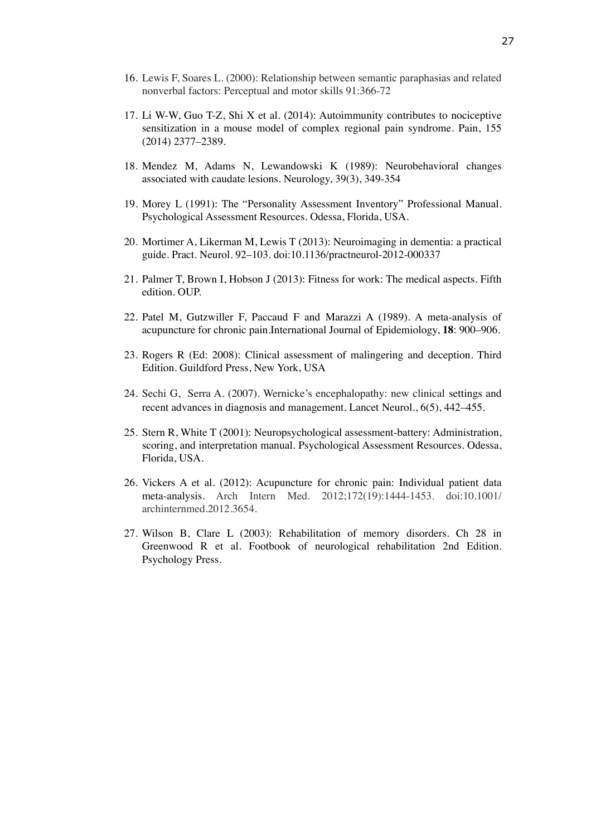- 16. Lewis F, Soares L. (2000): Relationship between semantic paraphasias and related nonverbal factors: Perceptual and motor skills 91:366-72
- 17. Li W-W, Guo T-Z, Shi X et al. (2014): Autoimmunity contributes to nociceptive sensitization in a mouse model of complex regional pain syndrome. Pain, 155 (2014) 2377–2389.
- 18. Mendez M, Adams N, Lewandowski K (1989): Neurobehavioral changes associated with caudate lesions. Neurology, 39(3), 349-354
- 19. Morey L (1991): The "Personality Assessment Inventory" Professional Manual. Psychological Assessment Resources. Odessa, Florida, USA.
- 20. Mortimer A, Likerman M, Lewis T (2013): Neuroimaging in dementia: a practical guide. Pract. Neurol. 92–103. doi:10.1136/practneurol-2012-000337
- 21. Palmer T, Brown I, Hobson J (2013): Fitness for work: The medical aspects. Fifth edition. OUP.
- 22. Patel M, Gutzwiller F, Paccaud F and Marazzi A (1989). A meta-analysis of acupuncture for chronic pain.International Journal of Epidemiology, **18**: 900–906.
- 23. Rogers R (Ed: 2008): Clinical assessment of malingering and deception. Third Edition. Guildford Press, New York, USA
- 24. Sechi G, Serra A. (2007). Wernicke's encephalopathy: new clinical settings and recent advances in diagnosis and management. Lancet Neurol., 6(5), 442–455.
- 25. Stern R, White T (2001): Neuropsychological assessment-battery: Administration, scoring, and interpretation manual. Psychological Assessment Resources. Odessa, Florida, USA.
- 26. Vickers A et al. (2012): Acupuncture for chronic pain: Individual patient data meta-analysis. Arch Intern Med. 2012;172(19):1444-1453. doi:10.1001/ archinternmed.2012.3654.
- 27. Wilson B, Clare L (2003): Rehabilitation of memory disorders. Ch 28 in Greenwood R et al. Footbook of neurological rehabilitation 2nd Edition. Psychology Press.